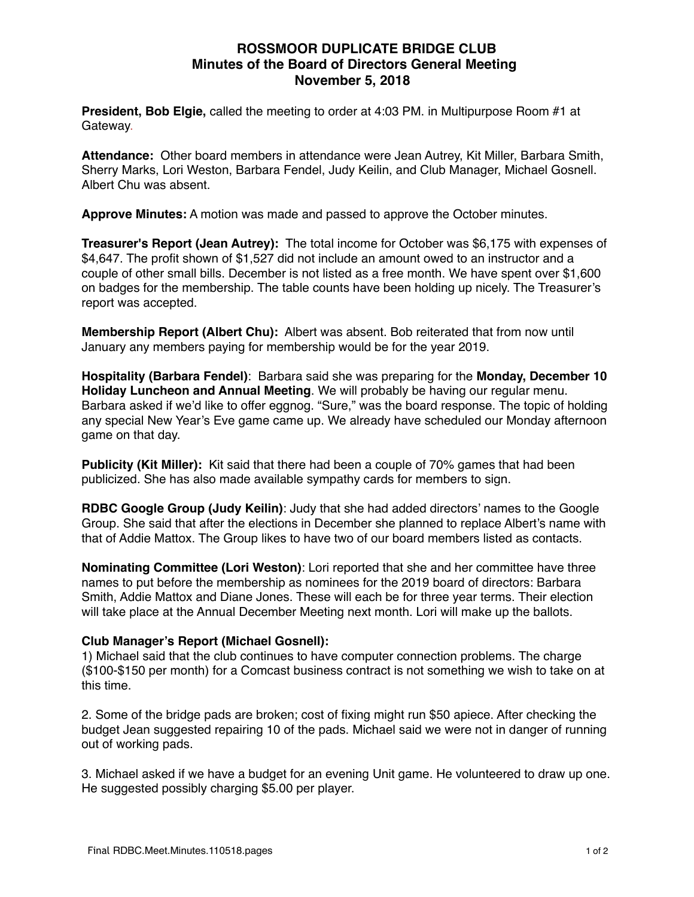## **ROSSMOOR DUPLICATE BRIDGE CLUB Minutes of the Board of Directors General Meeting November 5, 2018**

**President, Bob Elgie,** called the meeting to order at 4:03 PM. in Multipurpose Room #1 at Gateway.

**Attendance:** Other board members in attendance were Jean Autrey, Kit Miller, Barbara Smith, Sherry Marks, Lori Weston, Barbara Fendel, Judy Keilin, and Club Manager, Michael Gosnell. Albert Chu was absent.

**Approve Minutes:** A motion was made and passed to approve the October minutes.

**Treasurer's Report (Jean Autrey):** The total income for October was \$6,175 with expenses of \$4,647. The profit shown of \$1,527 did not include an amount owed to an instructor and a couple of other small bills. December is not listed as a free month. We have spent over \$1,600 on badges for the membership. The table counts have been holding up nicely. The Treasurer's report was accepted.

**Membership Report (Albert Chu):** Albert was absent. Bob reiterated that from now until January any members paying for membership would be for the year 2019.

**Hospitality (Barbara Fendel)**: Barbara said she was preparing for the **Monday, December 10 Holiday Luncheon and Annual Meeting**. We will probably be having our regular menu. Barbara asked if we'd like to offer eggnog. "Sure," was the board response. The topic of holding any special New Year's Eve game came up. We already have scheduled our Monday afternoon game on that day.

**Publicity (Kit Miller):** Kit said that there had been a couple of 70% games that had been publicized. She has also made available sympathy cards for members to sign.

**RDBC Google Group (Judy Keilin)**: Judy that she had added directors' names to the Google Group. She said that after the elections in December she planned to replace Albert's name with that of Addie Mattox. The Group likes to have two of our board members listed as contacts.

**Nominating Committee (Lori Weston)**: Lori reported that she and her committee have three names to put before the membership as nominees for the 2019 board of directors: Barbara Smith, Addie Mattox and Diane Jones. These will each be for three year terms. Their election will take place at the Annual December Meeting next month. Lori will make up the ballots.

## **Club Manager's Report (Michael Gosnell):**

1) Michael said that the club continues to have computer connection problems. The charge (\$100-\$150 per month) for a Comcast business contract is not something we wish to take on at this time.

2. Some of the bridge pads are broken; cost of fixing might run \$50 apiece. After checking the budget Jean suggested repairing 10 of the pads. Michael said we were not in danger of running out of working pads.

3. Michael asked if we have a budget for an evening Unit game. He volunteered to draw up one. He suggested possibly charging \$5.00 per player.